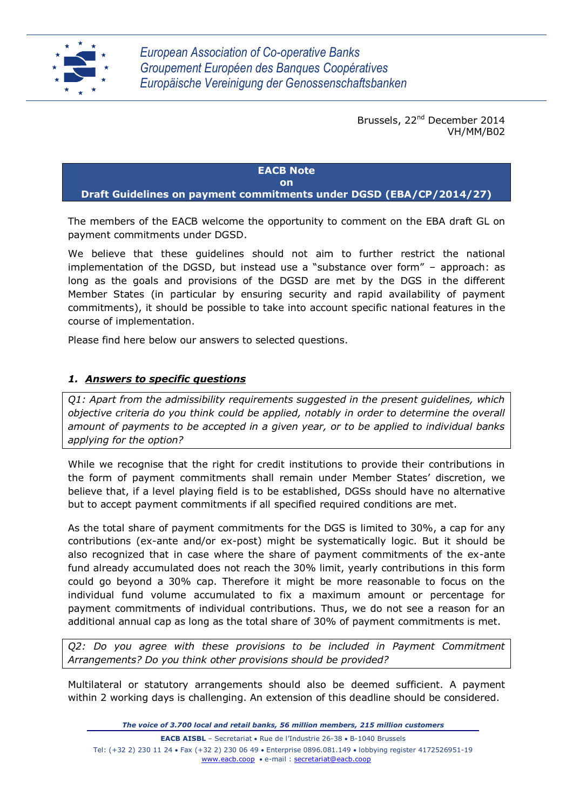

Brussels, 22<sup>nd</sup> December 2014 VH/MM/B02

## **EACB Note**

## **on**

**Draft Guidelines on payment commitments under DGSD (EBA/CP/2014/27)**

The members of the EACB welcome the opportunity to comment on the EBA draft GL on payment commitments under DGSD.

We believe that these guidelines should not aim to further restrict the national implementation of the DGSD, but instead use a "substance over form" – approach: as long as the goals and provisions of the DGSD are met by the DGS in the different Member States (in particular by ensuring security and rapid availability of payment commitments), it should be possible to take into account specific national features in the course of implementation.

Please find here below our answers to selected questions.

## *1. Answers to specific questions*

*Q1: Apart from the admissibility requirements suggested in the present guidelines, which objective criteria do you think could be applied, notably in order to determine the overall amount of payments to be accepted in a given year, or to be applied to individual banks applying for the option?*

While we recognise that the right for credit institutions to provide their contributions in the form of payment commitments shall remain under Member States' discretion, we believe that, if a level playing field is to be established, DGSs should have no alternative but to accept payment commitments if all specified required conditions are met.

As the total share of payment commitments for the DGS is limited to 30%, a cap for any contributions (ex-ante and/or ex-post) might be systematically logic. But it should be also recognized that in case where the share of payment commitments of the ex-ante fund already accumulated does not reach the 30% limit, yearly contributions in this form could go beyond a 30% cap. Therefore it might be more reasonable to focus on the individual fund volume accumulated to fix a maximum amount or percentage for payment commitments of individual contributions. Thus, we do not see a reason for an additional annual cap as long as the total share of 30% of payment commitments is met.

*Q2: Do you agree with these provisions to be included in Payment Commitment Arrangements? Do you think other provisions should be provided?*

Multilateral or statutory arrangements should also be deemed sufficient. A payment within 2 working days is challenging. An extension of this deadline should be considered.

*The voice of 3.700 local and retail banks, 56 million members, 215 million customers*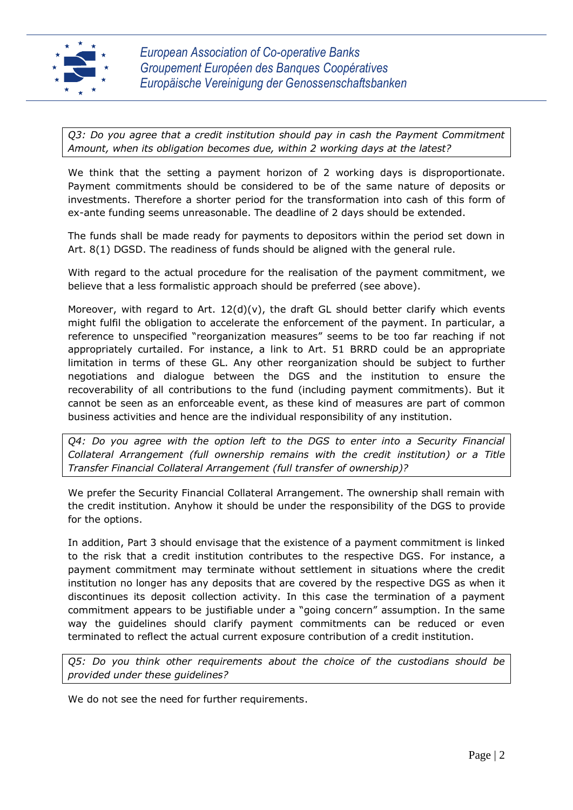

*Q3: Do you agree that a credit institution should pay in cash the Payment Commitment Amount, when its obligation becomes due, within 2 working days at the latest?*

We think that the setting a payment horizon of 2 working days is disproportionate. Payment commitments should be considered to be of the same nature of deposits or investments. Therefore a shorter period for the transformation into cash of this form of ex-ante funding seems unreasonable. The deadline of 2 days should be extended.

The funds shall be made ready for payments to depositors within the period set down in Art. 8(1) DGSD. The readiness of funds should be aligned with the general rule.

With regard to the actual procedure for the realisation of the payment commitment, we believe that a less formalistic approach should be preferred (see above).

Moreover, with regard to Art.  $12(d)(v)$ , the draft GL should better clarify which events might fulfil the obligation to accelerate the enforcement of the payment. In particular, a reference to unspecified "reorganization measures" seems to be too far reaching if not appropriately curtailed. For instance, a link to Art. 51 BRRD could be an appropriate limitation in terms of these GL. Any other reorganization should be subject to further negotiations and dialogue between the DGS and the institution to ensure the recoverability of all contributions to the fund (including payment commitments). But it cannot be seen as an enforceable event, as these kind of measures are part of common business activities and hence are the individual responsibility of any institution.

*Q4: Do you agree with the option left to the DGS to enter into a Security Financial Collateral Arrangement (full ownership remains with the credit institution) or a Title Transfer Financial Collateral Arrangement (full transfer of ownership)?*

We prefer the Security Financial Collateral Arrangement. The ownership shall remain with the credit institution. Anyhow it should be under the responsibility of the DGS to provide for the options.

In addition, Part 3 should envisage that the existence of a payment commitment is linked to the risk that a credit institution contributes to the respective DGS. For instance, a payment commitment may terminate without settlement in situations where the credit institution no longer has any deposits that are covered by the respective DGS as when it discontinues its deposit collection activity. In this case the termination of a payment commitment appears to be justifiable under a "going concern" assumption. In the same way the guidelines should clarify payment commitments can be reduced or even terminated to reflect the actual current exposure contribution of a credit institution.

*Q5: Do you think other requirements about the choice of the custodians should be provided under these guidelines?*

We do not see the need for further requirements.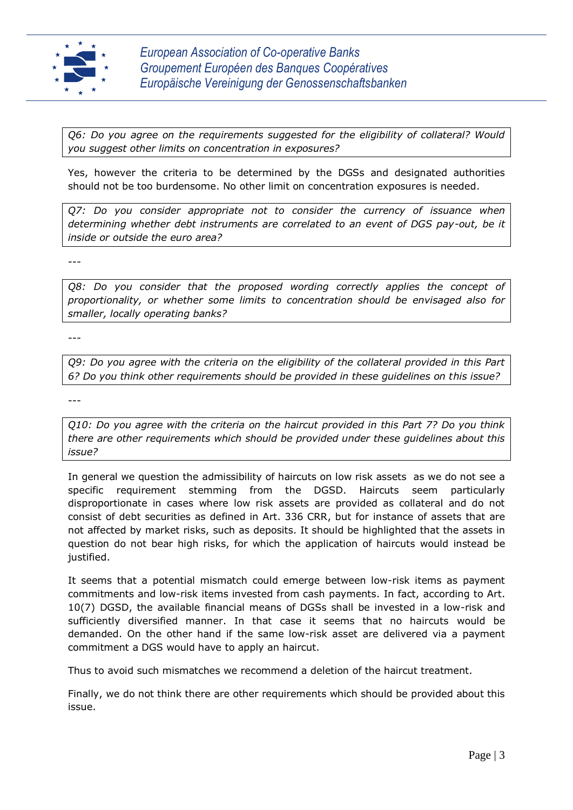

*Q6: Do you agree on the requirements suggested for the eligibility of collateral? Would you suggest other limits on concentration in exposures?*

Yes, however the criteria to be determined by the DGSs and designated authorities should not be too burdensome. No other limit on concentration exposures is needed.

*Q7: Do you consider appropriate not to consider the currency of issuance when determining whether debt instruments are correlated to an event of DGS pay-out, be it inside or outside the euro area?*

---

*Q8: Do you consider that the proposed wording correctly applies the concept of proportionality, or whether some limits to concentration should be envisaged also for smaller, locally operating banks?*

---

*Q9: Do you agree with the criteria on the eligibility of the collateral provided in this Part 6? Do you think other requirements should be provided in these guidelines on this issue?*

---

*Q10: Do you agree with the criteria on the haircut provided in this Part 7? Do you think there are other requirements which should be provided under these guidelines about this issue?*

In general we question the admissibility of haircuts on low risk assets as we do not see a specific requirement stemming from the DGSD. Haircuts seem particularly disproportionate in cases where low risk assets are provided as collateral and do not consist of debt securities as defined in Art. 336 CRR, but for instance of assets that are not affected by market risks, such as deposits. It should be highlighted that the assets in question do not bear high risks, for which the application of haircuts would instead be justified.

It seems that a potential mismatch could emerge between low-risk items as payment commitments and low-risk items invested from cash payments. In fact, according to Art. 10(7) DGSD, the available financial means of DGSs shall be invested in a low-risk and sufficiently diversified manner. In that case it seems that no haircuts would be demanded. On the other hand if the same low-risk asset are delivered via a payment commitment a DGS would have to apply an haircut.

Thus to avoid such mismatches we recommend a deletion of the haircut treatment.

Finally, we do not think there are other requirements which should be provided about this issue.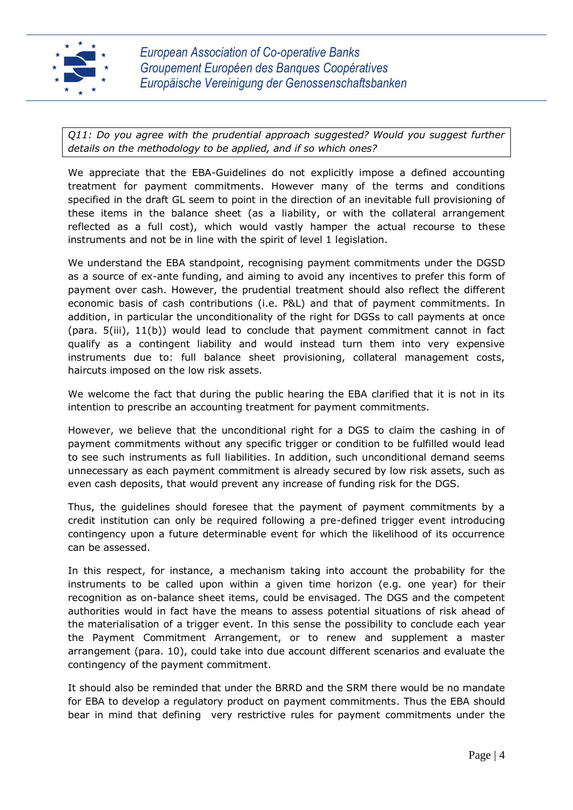

*Q11: Do you agree with the prudential approach suggested? Would you suggest further details on the methodology to be applied, and if so which ones?*

We appreciate that the EBA-Guidelines do not explicitly impose a defined accounting treatment for payment commitments. However many of the terms and conditions specified in the draft GL seem to point in the direction of an inevitable full provisioning of these items in the balance sheet (as a liability, or with the collateral arrangement reflected as a full cost), which would vastly hamper the actual recourse to these instruments and not be in line with the spirit of level 1 legislation.

We understand the EBA standpoint, recognising payment commitments under the DGSD as a source of ex-ante funding, and aiming to avoid any incentives to prefer this form of payment over cash. However, the prudential treatment should also reflect the different economic basis of cash contributions (i.e. P&L) and that of payment commitments. In addition, in particular the unconditionality of the right for DGSs to call payments at once (para. 5(iii), 11(b)) would lead to conclude that payment commitment cannot in fact qualify as a contingent liability and would instead turn them into very expensive instruments due to: full balance sheet provisioning, collateral management costs, haircuts imposed on the low risk assets.

We welcome the fact that during the public hearing the EBA clarified that it is not in its intention to prescribe an accounting treatment for payment commitments.

However, we believe that the unconditional right for a DGS to claim the cashing in of payment commitments without any specific trigger or condition to be fulfilled would lead to see such instruments as full liabilities. In addition, such unconditional demand seems unnecessary as each payment commitment is already secured by low risk assets, such as even cash deposits, that would prevent any increase of funding risk for the DGS.

Thus, the guidelines should foresee that the payment of payment commitments by a credit institution can only be required following a pre-defined trigger event introducing contingency upon a future determinable event for which the likelihood of its occurrence can be assessed.

In this respect, for instance, a mechanism taking into account the probability for the instruments to be called upon within a given time horizon (e.g. one year) for their recognition as on-balance sheet items, could be envisaged. The DGS and the competent authorities would in fact have the means to assess potential situations of risk ahead of the materialisation of a trigger event. In this sense the possibility to conclude each year the Payment Commitment Arrangement, or to renew and supplement a master arrangement (para. 10), could take into due account different scenarios and evaluate the contingency of the payment commitment.

It should also be reminded that under the BRRD and the SRM there would be no mandate for EBA to develop a regulatory product on payment commitments. Thus the EBA should bear in mind that defining very restrictive rules for payment commitments under the